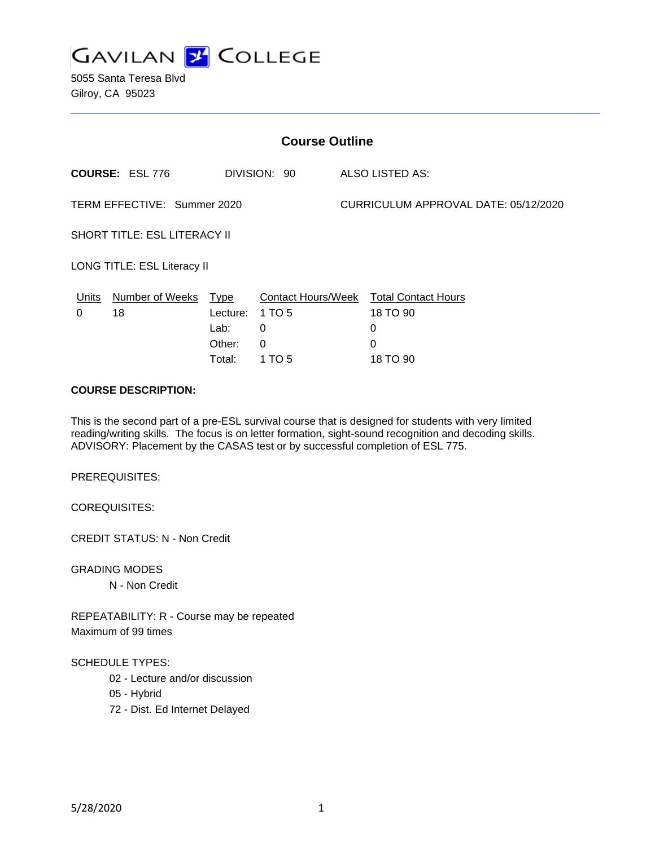

5055 Santa Teresa Blvd Gilroy, CA 95023

| <b>Course Outline</b>                           |                                      |                                   |                                                                                 |
|-------------------------------------------------|--------------------------------------|-----------------------------------|---------------------------------------------------------------------------------|
| <b>COURSE: ESL 776</b>                          |                                      | DIVISION: 90                      | ALSO LISTED AS:                                                                 |
| TERM EFFECTIVE: Summer 2020                     |                                      |                                   | CURRICULUM APPROVAL DATE: 05/12/2020                                            |
| SHORT TITLE: ESL LITERACY II                    |                                      |                                   |                                                                                 |
| LONG TITLE: ESL Literacy II                     |                                      |                                   |                                                                                 |
| Number of Weeks Type<br><u>Units</u><br>18<br>0 | Lecture:<br>Lab:<br>Other:<br>Total: | 1 TO 5<br>0<br>$\Omega$<br>1 TO 5 | Contact Hours/Week Total Contact Hours<br>18 TO 90<br>0<br>$\Omega$<br>18 TO 90 |

## **COURSE DESCRIPTION:**

This is the second part of a pre-ESL survival course that is designed for students with very limited reading/writing skills. The focus is on letter formation, sight-sound recognition and decoding skills. ADVISORY: Placement by the CASAS test or by successful completion of ESL 775.

PREREQUISITES:

COREQUISITES:

CREDIT STATUS: N - Non Credit

GRADING MODES

N - Non Credit

REPEATABILITY: R - Course may be repeated Maximum of 99 times

#### SCHEDULE TYPES:

- 02 Lecture and/or discussion
- 05 Hybrid
- 72 Dist. Ed Internet Delayed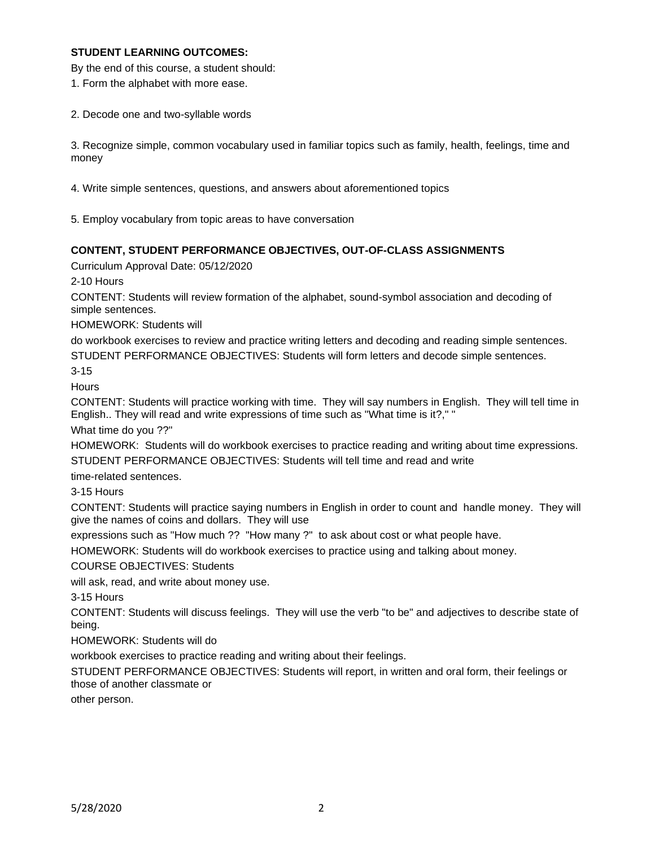## **STUDENT LEARNING OUTCOMES:**

By the end of this course, a student should:

1. Form the alphabet with more ease.

2. Decode one and two-syllable words

3. Recognize simple, common vocabulary used in familiar topics such as family, health, feelings, time and money

4. Write simple sentences, questions, and answers about aforementioned topics

5. Employ vocabulary from topic areas to have conversation

### **CONTENT, STUDENT PERFORMANCE OBJECTIVES, OUT-OF-CLASS ASSIGNMENTS**

Curriculum Approval Date: 05/12/2020

2-10 Hours

CONTENT: Students will review formation of the alphabet, sound-symbol association and decoding of simple sentences.

HOMEWORK: Students will

do workbook exercises to review and practice writing letters and decoding and reading simple sentences. STUDENT PERFORMANCE OBJECTIVES: Students will form letters and decode simple sentences.

3-15

**Hours** 

CONTENT: Students will practice working with time. They will say numbers in English. They will tell time in English.. They will read and write expressions of time such as "What time is it?," "

What time do you ??"

HOMEWORK: Students will do workbook exercises to practice reading and writing about time expressions. STUDENT PERFORMANCE OBJECTIVES: Students will tell time and read and write

time-related sentences.

3-15 Hours

CONTENT: Students will practice saying numbers in English in order to count and handle money. They will give the names of coins and dollars. They will use

expressions such as "How much ?? "How many ?" to ask about cost or what people have.

HOMEWORK: Students will do workbook exercises to practice using and talking about money.

COURSE OBJECTIVES: Students

will ask, read, and write about money use.

3-15 Hours

CONTENT: Students will discuss feelings. They will use the verb "to be" and adjectives to describe state of being.

HOMEWORK: Students will do

workbook exercises to practice reading and writing about their feelings.

STUDENT PERFORMANCE OBJECTIVES: Students will report, in written and oral form, their feelings or those of another classmate or

other person.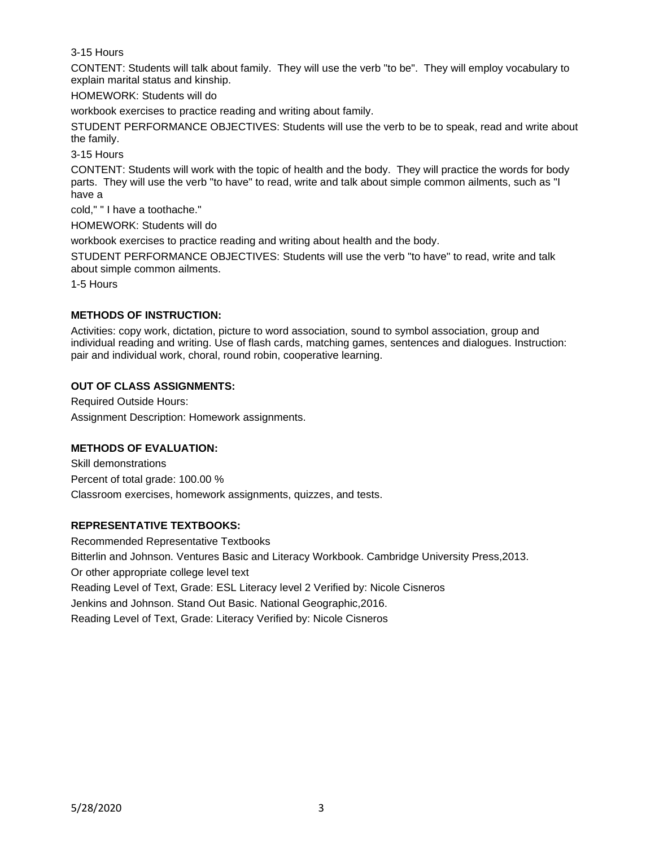3-15 Hours

CONTENT: Students will talk about family. They will use the verb "to be". They will employ vocabulary to explain marital status and kinship.

HOMEWORK: Students will do

workbook exercises to practice reading and writing about family.

STUDENT PERFORMANCE OBJECTIVES: Students will use the verb to be to speak, read and write about the family.

3-15 Hours

CONTENT: Students will work with the topic of health and the body. They will practice the words for body parts. They will use the verb "to have" to read, write and talk about simple common ailments, such as "I have a

cold," " I have a toothache."

HOMEWORK: Students will do

workbook exercises to practice reading and writing about health and the body.

STUDENT PERFORMANCE OBJECTIVES: Students will use the verb "to have" to read, write and talk about simple common ailments.

1-5 Hours

### **METHODS OF INSTRUCTION:**

Activities: copy work, dictation, picture to word association, sound to symbol association, group and individual reading and writing. Use of flash cards, matching games, sentences and dialogues. Instruction: pair and individual work, choral, round robin, cooperative learning.

### **OUT OF CLASS ASSIGNMENTS:**

Required Outside Hours: Assignment Description: Homework assignments.

## **METHODS OF EVALUATION:**

Skill demonstrations Percent of total grade: 100.00 % Classroom exercises, homework assignments, quizzes, and tests.

## **REPRESENTATIVE TEXTBOOKS:**

Recommended Representative Textbooks Bitterlin and Johnson. Ventures Basic and Literacy Workbook. Cambridge University Press,2013. Or other appropriate college level text Reading Level of Text, Grade: ESL Literacy level 2 Verified by: Nicole Cisneros Jenkins and Johnson. Stand Out Basic. National Geographic,2016. Reading Level of Text, Grade: Literacy Verified by: Nicole Cisneros